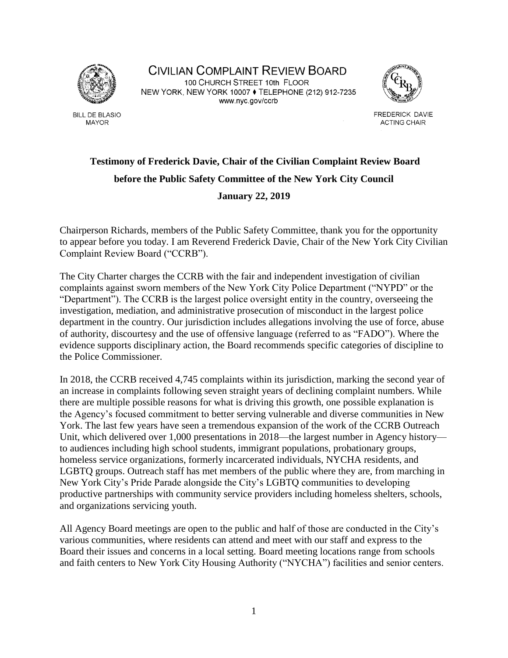

**BILL DE BLASIO MAYOR** 

CIVILIAN COMPLAINT REVIEW BOARD 100 CHURCH STREET 10th FLOOR NEW YORK, NEW YORK 10007 ♦ TELEPHONE (212) 912-7235 www.nyc.gov/ccrb



FREDERICK DAVIE **ACTING CHAIR** 

## **Testimony of Frederick Davie, Chair of the Civilian Complaint Review Board before the Public Safety Committee of the New York City Council**

## **January 22, 2019**

Chairperson Richards, members of the Public Safety Committee, thank you for the opportunity to appear before you today. I am Reverend Frederick Davie, Chair of the New York City Civilian Complaint Review Board ("CCRB").

The City Charter charges the CCRB with the fair and independent investigation of civilian complaints against sworn members of the New York City Police Department ("NYPD" or the "Department"). The CCRB is the largest police oversight entity in the country, overseeing the investigation, mediation, and administrative prosecution of misconduct in the largest police department in the country. Our jurisdiction includes allegations involving the use of force, abuse of authority, discourtesy and the use of offensive language (referred to as "FADO"). Where the evidence supports disciplinary action, the Board recommends specific categories of discipline to the Police Commissioner.

In 2018, the CCRB received 4,745 complaints within its jurisdiction, marking the second year of an increase in complaints following seven straight years of declining complaint numbers. While there are multiple possible reasons for what is driving this growth, one possible explanation is the Agency's focused commitment to better serving vulnerable and diverse communities in New York. The last few years have seen a tremendous expansion of the work of the CCRB Outreach Unit, which delivered over 1,000 presentations in 2018—the largest number in Agency history to audiences including high school students, immigrant populations, probationary groups, homeless service organizations, formerly incarcerated individuals, NYCHA residents, and LGBTQ groups. Outreach staff has met members of the public where they are, from marching in New York City's Pride Parade alongside the City's LGBTQ communities to developing productive partnerships with community service providers including homeless shelters, schools, and organizations servicing youth.

All Agency Board meetings are open to the public and half of those are conducted in the City's various communities, where residents can attend and meet with our staff and express to the Board their issues and concerns in a local setting. Board meeting locations range from schools and faith centers to New York City Housing Authority ("NYCHA") facilities and senior centers.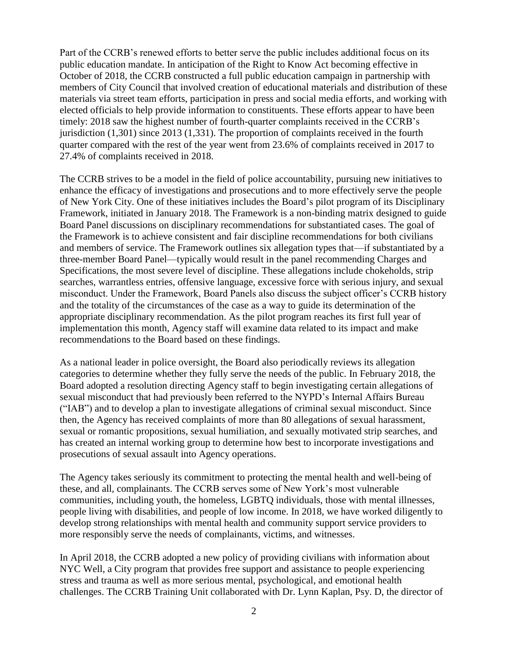Part of the CCRB's renewed efforts to better serve the public includes additional focus on its public education mandate. In anticipation of the Right to Know Act becoming effective in October of 2018, the CCRB constructed a full public education campaign in partnership with members of City Council that involved creation of educational materials and distribution of these materials via street team efforts, participation in press and social media efforts, and working with elected officials to help provide information to constituents. These efforts appear to have been timely: 2018 saw the highest number of fourth-quarter complaints received in the CCRB's jurisdiction (1,301) since 2013 (1,331). The proportion of complaints received in the fourth quarter compared with the rest of the year went from 23.6% of complaints received in 2017 to 27.4% of complaints received in 2018.

The CCRB strives to be a model in the field of police accountability, pursuing new initiatives to enhance the efficacy of investigations and prosecutions and to more effectively serve the people of New York City. One of these initiatives includes the Board's pilot program of its Disciplinary Framework, initiated in January 2018. The Framework is a non-binding matrix designed to guide Board Panel discussions on disciplinary recommendations for substantiated cases. The goal of the Framework is to achieve consistent and fair discipline recommendations for both civilians and members of service. The Framework outlines six allegation types that—if substantiated by a three-member Board Panel—typically would result in the panel recommending Charges and Specifications, the most severe level of discipline. These allegations include chokeholds, strip searches, warrantless entries, offensive language, excessive force with serious injury, and sexual misconduct. Under the Framework, Board Panels also discuss the subject officer's CCRB history and the totality of the circumstances of the case as a way to guide its determination of the appropriate disciplinary recommendation. As the pilot program reaches its first full year of implementation this month, Agency staff will examine data related to its impact and make recommendations to the Board based on these findings.

As a national leader in police oversight, the Board also periodically reviews its allegation categories to determine whether they fully serve the needs of the public. In February 2018, the Board adopted a resolution directing Agency staff to begin investigating certain allegations of sexual misconduct that had previously been referred to the NYPD's Internal Affairs Bureau ("IAB") and to develop a plan to investigate allegations of criminal sexual misconduct. Since then, the Agency has received complaints of more than 80 allegations of sexual harassment, sexual or romantic propositions, sexual humiliation, and sexually motivated strip searches, and has created an internal working group to determine how best to incorporate investigations and prosecutions of sexual assault into Agency operations.

The Agency takes seriously its commitment to protecting the mental health and well-being of these, and all, complainants. The CCRB serves some of New York's most vulnerable communities, including youth, the homeless, LGBTQ individuals, those with mental illnesses, people living with disabilities, and people of low income. In 2018, we have worked diligently to develop strong relationships with mental health and community support service providers to more responsibly serve the needs of complainants, victims, and witnesses.

In April 2018, the CCRB adopted a new policy of providing civilians with information about NYC Well, a City program that provides free support and assistance to people experiencing stress and trauma as well as more serious mental, psychological, and emotional health challenges. The CCRB Training Unit collaborated with Dr. Lynn Kaplan, Psy. D, the director of